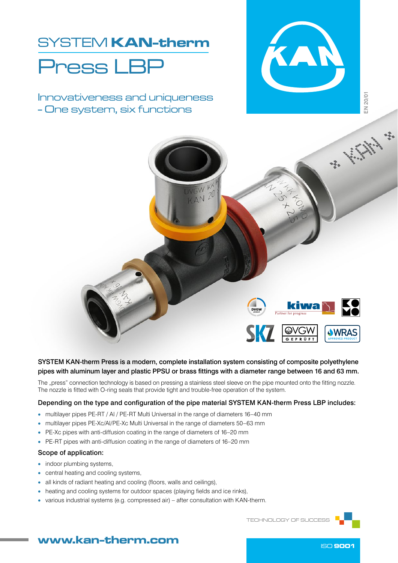# SYSTEM KAN-therm Press LBP

Innovativeness and uniqueness - One system, six functions





SYSTEM KAN-therm Press is a modern, complete installation system consisting of composite polyethylene pipes with aluminum layer and plastic PPSU or brass fittings with a diameter range between 16 and 63 mm.

The "press" connection technology is based on pressing a stainless steel sleeve on the pipe mounted onto the fitting nozzle. The nozzle is fitted with O-ring seals that provide tight and trouble-free operation of the system.

### Depending on the type and configuration of the pipe material SYSTEM KAN-therm Press LBP includes:

- multilayer pipes PE-RT / AI / PE-RT Multi Universal in the range of diameters 16–40 mm
- multilayer pipes PE‑Xc/Al/PE‑Xc Multi Universal in the range of diameters 50–63 mm
- PE-Xc pipes with anti-diffusion coating in the range of diameters of 16–20 mm
- PE-RT pipes with anti-diffusion coating in the range of diameters of 16-20 mm

### Scope of application:

- indoor plumbing systems,
- central heating and cooling systems,
- all kinds of radiant heating and cooling (floors, walls and ceilings),
- heating and cooling systems for outdoor spaces (playing fields and ice rinks),
- various industrial systems (e.g. compressed air) after consultation with KAN‑therm.

TECHNOLOGY OF SUCCESS

# www.kan-therm.com